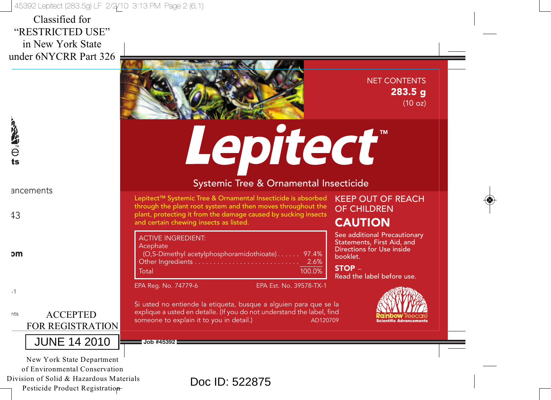45392 Lepitect (283.5g) LF 2/2/10 3:13 PM Page 2 (6,1)

Classified for "RESTRICTED USE" in New York State under 6NYCRR Part 326



NET CONTENTS 283.5 g (10 oz)

Lepitect<sup>®</sup>

# Systemic Tree & Ornamental Insecticide

Lepitect™ Systemic Tree & Ornamental Insecticide is absorbed through the plant root system and then moves throughout the plant, protecting it from the damage caused by sucking insects and certain chewing insects as listed.

(O,S-Dimethyl acetylphosphoramidothioate) . . . . . . 97.4% Other Ingredients . . . . . . . . . . . . . . . . . . . . . . . . . . . . 2.6% Total 100.0%

EPA Reg. No. 74779-6 EPA Est. No. 39578-TX-1

Si usted no entiende la etiqueta, busque a alguien para que se la explique a usted en detalle. (If you do not understand the label, find

ACTIVE INGREDIENT:

someone to explain it to you in detail.)

**Acephate** 

**Job #45392**

# KEEP OUT OF REACH OF CHILDREN

# CAUTION

See additional Precautionary Statements, First Aid, and Directions for Use inside booklet.

STOP – Read the label before use.



**Scientific Advancement** 

ancements

43

 $\frac{1}{2}$ 

om

-1

nts ACCEPTED FOR REGISTRATION



New York State Department of Environmental Conservation Division of Solid & Hazardous Materials Pesticide Product Registration

Doc ID: 522875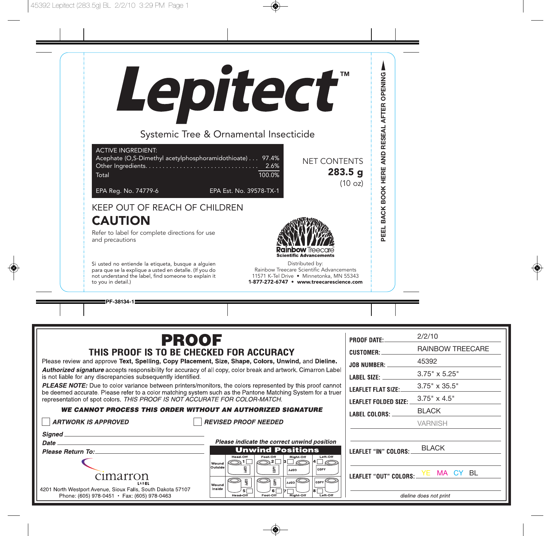

**PF-38134-1**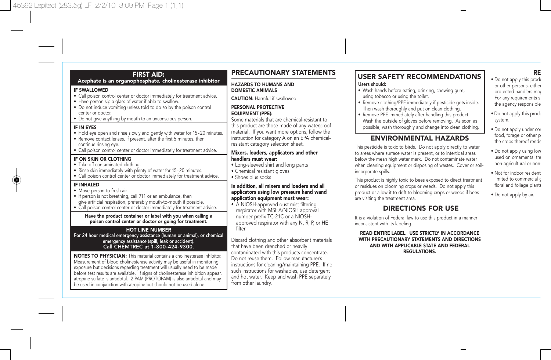IF SWALLOWED

center or doctor.

continue rinsing eye.

IF ON SKIN OR CLOTHING • Take off contaminated clothing.

IF IN EYES

IF INHALED • Move person to fresh air

FIRST AID: Acephate is an organophosphate, cholinesterase inhibitor

• Call poison control center or doctor immediately for treatment advice.

• Hold eye open and rinse slowly and gently with water for 15-20 minutes. • Remove contact lenses, if present, after the first 5 minutes, then

• Call poison control center or doctor immediately for treatment advice.

• Rinse skin immediately with plenty of water for 15-20 minutes. • Call poison control center or doctor immediately for treatment advice.

• If person is not breathing, call 911 or an ambulance, then give artificial respiration, preferably mouth-to-mouth if possible. • Call poison control center or doctor immediately for treatment advice. Have the product container or label with you when calling a poison control center or doctor or going for treatment. HOT LINE NUMBER For 24 hour medical emergency assistance (human or animal), or chemical emergency assistance (spill, leak or accident). Call CHEMTREC at 1-800-424-9300. NOTES TO PHYSICIAN: This material contains a cholinesterase inhibitor. Measurement of blood cholinesterase activity may be useful in monitoring exposure but decisions regarding treatment will usually need to be made before test results are available. If signs of cholinesterase inhibition appear, atropine sulfate is antidotal. 2-PAM (PROTOPAM) is also antidotal and may be used in conjunction with atropine but should not be used alone.

• Have person sip a glass of water if able to swallow. • Do not induce vomiting unless told to do so by the poison control

• Do not give anything by mouth to an unconscious person.

## PRECAUTIONARY STATEMENTS

#### HAZARDS TO HUMANS AND DOMESTIC ANIMALS

CAUTION: Harmful if swallowed.

#### PERSONAL PROTECTIVE EQUIPMENT (PPE):

Some materials that are chemical-resistant to this product are those made of any waterproof material. If you want more options, follow the instruction for category A on an EPA chemicalresistant category selection sheet.

#### Mixers, loaders, applicators and other handlers must wear:

- Long-sleeved shirt and long pants
- Chemical resistant gloves
- Shoes plus socks

#### In addition, all mixers and loaders and all applicators using low pressure hand wand application equipment must wear:

• A NIOSH-approved dust mist filtering respirator with MSHA/NIOSH approval number prefix TC-21C or a NIOSHapproved respirator with any N, R, P, or HE filter

Discard clothing and other absorbent materials that have been drenched or heavily contaminated with this products concentrate. Do not reuse them. Follow manufacturer's instructions for cleaning/maintaining PPE. If no such instructions for washables, use detergent and hot water. Keep and wash PPE separately from other laundry.

#### USER SAFETY RECOMMENDATIONS Users should:

- Wash hands before eating, drinking, chewing gum, using tobacco or using the toilet.
- Remove clothing/PPE immediately if pesticide gets inside. Then wash thoroughly and put on clean clothing.
- Remove PPE immediately after handling this product. Wash the outside of gloves before removing. As soon as possible, wash thoroughly and change into clean clothing.

## ENVIRONMENTAL HAZARDS

This pesticide is toxic to birds. Do not apply directly to water, to areas where surface water is present, or to intertidal areas below the mean high water mark. Do not contaminate water when cleaning equipment or disposing of wastes. Cover or soilincorporate spills.

This product is highly toxic to bees exposed to direct treatment or residues on blooming crops or weeds. Do not apply this product or allow it to drift to blooming crops or weeds if bees are visiting the treatment area.

### DIRECTIONS FOR USE

It is a violation of Federal law to use this product in a manner inconsistent with its labeling.

READ ENTIRE LAREL. LISE STRICTLY IN ACCORDANCE WITH PRECAUTIONARY STATEMENTS AND DIRECTIONS AND WITH APPLICABLE STATE AND FEDERAL REGULATIONS.

# RE

• Do not apply this produ or other persons, either protected handlers may For any requirements s the agency responsible

- Do not apply this produ system.
- Do not apply under con food, forage or other p the crops thereof rende
- Do not apply using low used on ornamental tre non-agricultural or non-
- Not for indoor resident limited to commercial g floral and foliage plants
- Do not apply by air.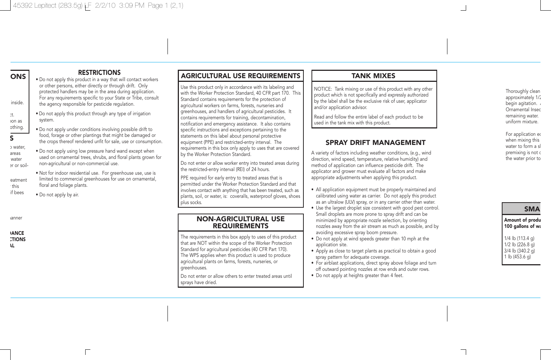# **ONS**

### **RESTRICTIONS**

• Do not apply this product in a way that will contact workers or other persons, either directly or through drift. Only protected handlers may be in the area during application. For any requirements specific to your State or Tribe, consult the agency responsible for pesticide regulation.

• Do not apply this product through any type of irrigation

• Do not apply under conditions involving possible drift to food, forage or other plantings that might be damaged or the crops thereof rendered unfit for sale, use or consumption. • Do not apply using low pressure hand wand except when used on ornamental trees, shrubs, and floral plants grown for

• Not for indoor residential use. For greenhouse use, use is limited to commercial greenhouses for use on ornamental,

non-agricultural or non-commercial use.

inside. ct.

oon as

- othing.
- 
- 
- 
- 
- S
- o water,

areas water

- er or soil-
- 

reatment this.

- if bees
	- Do not apply by air.

floral and foliage plants.

system.

anner

**ANCE CTIONS** AL

# AGRICULTURAL USE REQUIREMENTS

Use this product only in accordance with its labeling and with the Worker Protection Standard, 40 CFR part 170. This Standard contains requirements for the protection of agricultural workers on farms, forests, nurseries and greenhouses, and handlers of agricultural pesticides. It contains requirements for training, decontamination, notification and emergency assistance. It also contains specific instructions and exceptions pertaining to the statements on this label about personal protective equipment (PPE) and restricted-entry interval. The requirements in this box only apply to uses that are covered by the Worker Protection Standard.

Do not enter or allow worker entry into treated areas during the restricted-entry interval (REI) of 24 hours.

PPE required for early entry to treated areas that is permitted under the Worker Protection Standard and that involves contact with anything that has been treated, such as plants, soil, or water, is: coveralls, waterproof gloves, shoes plus socks.

#### NON-AGRICULTURAL USE REQUIREMENTS

The requirements in this box apply to uses of this product that are NOT within the scope of the Worker Protection Standard for agricultural pesticides (40 CFR Part 170). The WPS applies when this product is used to produce agricultural plants on farms, forests, nurseries, or greenhouses.

Do not enter or allow others to enter treated areas until sprays have dried.

## TANK MIXES

NOTICE: Tank mixing or use of this product with any other product which is not specifically and expressly authorized by the label shall be the exclusive risk of user, applicator and/or application advisor.

Read and follow the entire label of each product to be used in the tank mix with this product.

#### SPRAY DRIFT MANAGEMENT

A variety of factors including weather conditions, (e.g., wind direction, wind speed, temperature, relative humidity) and method of application can influence pesticide drift. The applicator and grower must evaluate all factors and make appropriate adjustments when applying this product.

- All application equipment must be properly maintained and calibrated using water as carrier. Do not apply this product as an ultralow (ULV) spray, or in any carrier other than water.
- Use the largest droplet size consistent with good pest control. Small droplets are more prone to spray drift and can be minimized by appropriate nozzle selection, by orienting nozzles away from the air stream as much as possible, and by avoiding excessive spray boom pressure.
- Do not apply at wind speeds greater than 10 mph at the application site.
- Apply as close to target plants as practical to obtain a good spray pattern for adequate coverage.
- For airblast applications, direct spray above foliage and turn off outward pointing nozzles at row ends and outer rows.
- Do not apply at heights greater than 4 feet.

#### Thoroughly clean approximately 1/2 begin agitation. Ornamental Insec remaining water. uniform mixture.

For application eq when mixing this water to form a sl premixing is not a the water prior to

SMA

Amount of produ 100 gallons of wa

1/4 lb (113.4 g)  $1/2$  lb  $(226.8 \text{ g})$ 3/4 lb (340.2 g) 1 lb (453.6 g)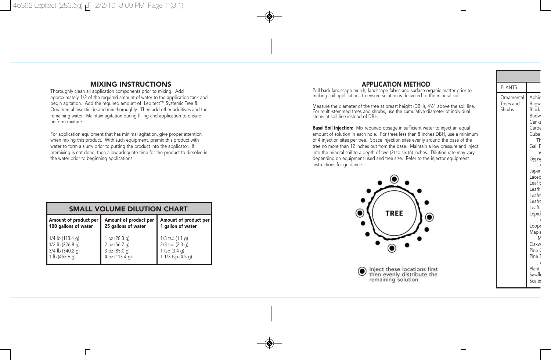### MIXING INSTRUCTIONS

Thoroughly clean all application components prior to mixing. Add approximately 1/2 of the required amount of water to the application tank and begin agitation. Add the required amount of Lepitect™ Systemic Tree & Ornamental Insecticide and mix thoroughly. Then add other additives and the remaining water. Maintain agitation during filling and application to ensure uniform mixture.

For application equipment that has minimal agitation, give proper attention when mixing this product. With such equipment, premix this product with water to form a slurry prior to putting the product into the applicator. If premixing is not done, then allow adequate time for the product to dissolve in the water prior to beginning applications.

| <b>SMALL VOLUME DILUTION CHART</b> |                       |                       |  |  |  |  |
|------------------------------------|-----------------------|-----------------------|--|--|--|--|
| Amount of product per              | Amount of product per | Amount of product per |  |  |  |  |
| 100 gallons of water               | 25 gallons of water   | 1 gallon of water     |  |  |  |  |
| 1/4 lb (113.4 g)                   | 1 oz (28.3 g)         | $1/3$ tsp $(1.1 q)$   |  |  |  |  |
| 1/2 lb (226.8 g)                   | 2 oz (56.7 g)         | 2/3 tsp (2.3 g)       |  |  |  |  |
| $3/4$ lb (340.2 g)                 | 3 oz (85.0 g)         | 1 tsp (3.4 g)         |  |  |  |  |
| 1 lb (453.6 g)                     | 4 oz (113.4 g)        | 1 1/3 tsp (4.5 g)     |  |  |  |  |

г

### APPLICATION METHOD

Pull back landscape mulch, landscape fabric and surface organic matter prior to making soil applications to ensure solution is delivered to the mineral soil.

Measure the diameter of the tree at breast height (DBH), 4'6" above the soil line. For multi-stemmed trees and shrubs, use the cumulative diameter of individual stems at soil line instead of DBH.

Basal Soil Injection: Mix required dosage in sufficient water to inject an equal amount of solution in each hole. For trees less than 8 inches DBH, use a minimum of 4 injection sites per tree. Space injection sites evenly around the base of the tree no more than 12 inches out from the base. Maintain a low pressure and inject into the mineral soil to a depth of two (2) to six (6) inches. Dilution rate may vary depending on equipment used and tree size. Refer to the injector equipment instructions for guidance.



Inject these locations first  $\bf{O}$ then evenly distribute the remaining solution

PLANTS Ornamental Trees and Shrubs Aphic Bagw **Black** Budw Canke Carpe Cuba Th Gall F Ins Gyps<sub>!</sub> (la Japan Laceb Leaf **E** Leafh Leafm Leafro Leafti Lepid (la Loope **Maple** M Oakw Pine ( Pine<sup>-</sup> (la Plant Sawfli Scale: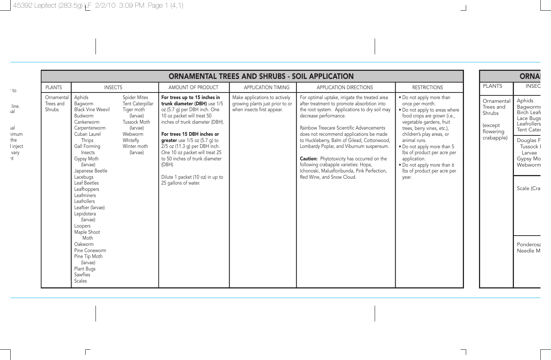$\overline{\Gamma}$ 

|                                                                               | <b>ORNAMENTAL TREES AND SHRUBS - SOIL APPLICATION</b>                                                                                                                                                                                                                                                                                                                                                                                                                                                                                                                                       |                                                                                                                                                                                                                                                                                                                                                                                                                            |                                                                                                |                                                                                                                                                                                                                                                                                                                                                                                                                                                                                                                                   |                                                                                                                                                                                                                                                                                                                                                                       |                                                                         |                                                                                                                                                                              |
|-------------------------------------------------------------------------------|---------------------------------------------------------------------------------------------------------------------------------------------------------------------------------------------------------------------------------------------------------------------------------------------------------------------------------------------------------------------------------------------------------------------------------------------------------------------------------------------------------------------------------------------------------------------------------------------|----------------------------------------------------------------------------------------------------------------------------------------------------------------------------------------------------------------------------------------------------------------------------------------------------------------------------------------------------------------------------------------------------------------------------|------------------------------------------------------------------------------------------------|-----------------------------------------------------------------------------------------------------------------------------------------------------------------------------------------------------------------------------------------------------------------------------------------------------------------------------------------------------------------------------------------------------------------------------------------------------------------------------------------------------------------------------------|-----------------------------------------------------------------------------------------------------------------------------------------------------------------------------------------------------------------------------------------------------------------------------------------------------------------------------------------------------------------------|-------------------------------------------------------------------------|------------------------------------------------------------------------------------------------------------------------------------------------------------------------------|
| <b>PLANTS</b>                                                                 | <b>INSECTS</b>                                                                                                                                                                                                                                                                                                                                                                                                                                                                                                                                                                              | AMOUNT OF PRODUCT                                                                                                                                                                                                                                                                                                                                                                                                          | APPLICATION TIMING                                                                             | APPLICATION DIRECTIONS                                                                                                                                                                                                                                                                                                                                                                                                                                                                                                            | <b>RESTRICTIONS</b>                                                                                                                                                                                                                                                                                                                                                   | <b>PLANTS</b>                                                           | <b>INSEC</b>                                                                                                                                                                 |
| Ornamental<br>Trees and<br>line.<br>Shrubs<br><i>imum</i><br>l inject<br>vary | Aphids<br>Spider Mites<br>Tent Caterpillar<br>Bagworm<br><b>Black Vine Weevil</b><br>Tiger moth<br>(larvae)<br>Budworm<br>Tussock Moth<br>Cankerworm<br>(larvae)<br>Carpenterworm<br>Webworm<br>Cuban Laurel<br>Thrips<br>Whitefly<br>Gall Forming<br>Winter moth<br>Insects<br>(larvae)<br>Gypsy Moth<br>(larvae)<br>Japanese Beetle<br>Lacebugs<br>Leaf Beetles<br>Leafhoppers<br>Leafminers<br>Leafrollers<br>Leaftier (larvae)<br>Lepidotera<br>(larvae)<br>Loopers<br>Maple Shoot<br>Moth<br>Oakworm<br>Pine Coneworm<br>Pine Tip Moth<br>(larvae)<br>Plant Bugs<br>Sawflies<br>Scales | For trees up to 15 inches in<br>trunk diameter (DBH) use 1/5<br>oz (5.7 g) per DBH inch. One<br>10 oz packet will treat 50<br>inches of trunk diameter (DBH).<br>For trees 15 DBH inches or<br><b>greater</b> use $1/5$ oz $(5.7 \text{ q})$ to<br>2/5 oz (11.3 g) per DBH inch.<br>One 10 oz packet will treat 25<br>to 50 inches of trunk diameter<br>(DBH).<br>Dilute 1 packet (10 oz) in up to<br>25 gallons of water. | Make applications to actively<br>growing plants just prior to or<br>when insects first appear. | For optimal uptake, irrigate the treated area<br>after treatment to promote absorbtion into<br>the root system. Applications to dry soil may<br>decrease performance.<br>Rainbow Treecare Scientific Advancements<br>does not recommend applications be made<br>to Huckleberry, Balm of Gilead, Cottonwood,<br>Lombardy Poplar, and Viburnum suspensum.<br><b>Caution:</b> Phytotoxicity has occurred on the<br>following crabapple varieties: Hopa,<br>Ichonoski, Malusfloribunda, Pink Perfection,<br>Red Wine, and Snow Cloud. | . Do not apply more than<br>once per month.<br>. Do not apply to areas where<br>food crops are grown (i.e.,<br>vegetable gardens, fruit<br>trees, berry vines, etc.),<br>children's play areas, or<br>animal runs.<br>. Do not apply more than 5<br>lbs of product per acre per<br>application.<br>. Do not apply more than 6<br>lbs of product per acre per<br>year. | Ornamental<br>Trees and<br>Shrubs<br>(except<br>flowering<br>crabapple) | Aphids<br>Bagworms<br>Birch Leaf<br>Lace Bugs<br>Leafrollers<br>Tent Cater<br>Douglas F<br>Tussock I<br>Larvae<br>Gypsy Mo<br>Webworm<br>Scale (Cra<br>Ponderosa<br>Needle M |

 $\overline{\phantom{a}}$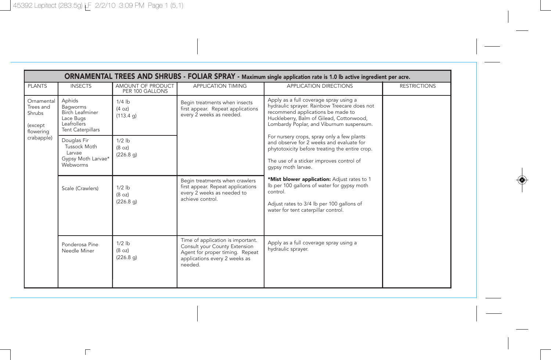$\overline{\Gamma}$ 

|                                                                                                                  | ORNAMENTAL TREES AND SHRUBS - FOLIAR SPRAY - Maximum single application rate is 1.0 lb active ingredient per acre. |                                      |                                                                                                                                                                                                            |                                                                                                                                                                                                                     |                     |  |  |  |
|------------------------------------------------------------------------------------------------------------------|--------------------------------------------------------------------------------------------------------------------|--------------------------------------|------------------------------------------------------------------------------------------------------------------------------------------------------------------------------------------------------------|---------------------------------------------------------------------------------------------------------------------------------------------------------------------------------------------------------------------|---------------------|--|--|--|
| <b>PLANTS</b>                                                                                                    | <b>INSECTS</b>                                                                                                     | AMOUNT OF PRODUCT<br>PER 100 GALLONS | <b>APPLICATION TIMING</b>                                                                                                                                                                                  | <b>APPLICATION DIRECTIONS</b>                                                                                                                                                                                       | <b>RESTRICTIONS</b> |  |  |  |
| Ornamental<br>Trees and<br>Shrubs<br>(except<br>flowering                                                        | Aphids<br>Bagworms<br>Birch Leafminer<br>Lace Bugs<br>Leafrollers<br><b>Tent Caterpillars</b>                      | $1/4$ lb<br>(4 oz)<br>(113.4 g)      | Begin treatments when insects<br>first appear. Repeat applications<br>every 2 weeks as needed.                                                                                                             | Apply as a full coverage spray using a<br>hydraulic sprayer. Rainbow Treecare does not<br>recommend applications be made to<br>Huckleberry, Balm of Gilead, Cottonwood,<br>Lombardy Poplar, and Viburnum suspensum. |                     |  |  |  |
| crabapple)<br>Douglas Fir<br><b>Tussock Moth</b><br>Larvae<br>Gypsy Moth Larvae*<br>Webworms<br>Scale (Crawlers) | $1/2$ lb<br>(8 oz)<br>(226.8 g)                                                                                    |                                      | For nursery crops, spray only a few plants<br>and observe for 2 weeks and evaluate for<br>phytotoxicity before treating the entire crop.<br>The use of a sticker improves control of<br>gypsy moth larvae. |                                                                                                                                                                                                                     |                     |  |  |  |
|                                                                                                                  |                                                                                                                    | $1/2$ lb<br>(8 oz)<br>(226.8 q)      | Begin treatments when crawlers<br>first appear. Repeat applications<br>every 2 weeks as needed to<br>achieve control.                                                                                      | *Mist blower application: Adjust rates to 1<br>Ib per 100 gallons of water for gypsy moth<br>control.<br>Adjust rates to 3/4 lb per 100 gallons of<br>water for tent caterpillar control.                           |                     |  |  |  |
|                                                                                                                  | Ponderosa Pine<br>Needle Miner                                                                                     | $1/2$ lb<br>(8 oz)<br>(226.8 q)      | Time of application is important.<br>Consult your County Extension<br>Agent for proper timing. Repeat<br>applications every 2 weeks as<br>needed.                                                          | Apply as a full coverage spray using a<br>hydraulic sprayer.                                                                                                                                                        |                     |  |  |  |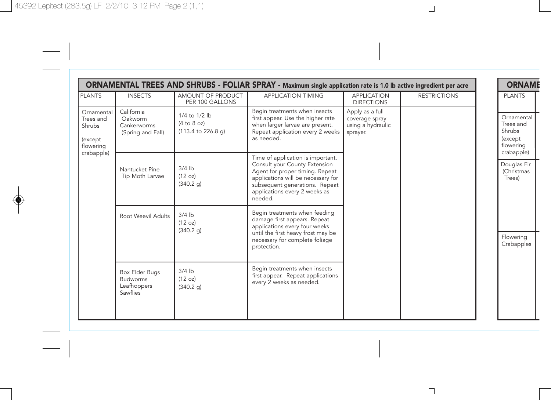|                                                                         |                                                              |                                                    | ORNAMENTAL TREES AND SHRUBS - FOLIAR SPRAY - Maximum single application rate is 1.0 lb active ingredient per acre                                                                                                         |                                                                    |                     | <b>ORNAME</b>                                                           |
|-------------------------------------------------------------------------|--------------------------------------------------------------|----------------------------------------------------|---------------------------------------------------------------------------------------------------------------------------------------------------------------------------------------------------------------------------|--------------------------------------------------------------------|---------------------|-------------------------------------------------------------------------|
| <b>PLANTS</b>                                                           | <b>INSECTS</b>                                               | AMOUNT OF PRODUCT<br>PER 100 GALLONS               | <b>APPLICATION TIMING</b>                                                                                                                                                                                                 | <b>APPLICATION</b><br><b>DIRECTIONS</b>                            | <b>RESTRICTIONS</b> | <b>PLANTS</b>                                                           |
| Ornamental<br>Trees and<br>Shrubs<br>(except<br>flowering<br>crabapple) | California<br>Oakworm<br>Cankerworms<br>(Spring and Fall)    | 1/4 to 1/2 lb<br>(4 to 8 oz)<br>(113.4 to 226.8 g) | Begin treatments when insects<br>first appear. Use the higher rate<br>when larger larvae are present.<br>Repeat application every 2 weeks<br>as needed.                                                                   | Apply as a full<br>coverage spray<br>using a hydraulic<br>sprayer. |                     | Ornamental<br>Trees and<br>Shrubs<br>(except<br>flowering<br>crabapple) |
|                                                                         | Nantucket Pine<br>Tip Moth Larvae                            | $3/4$ lb<br>(12 oz)<br>(340.2 g)                   | Time of application is important.<br>Consult your County Extension<br>Agent for proper timing. Repeat<br>applications will be necessary for<br>subsequent generations. Repeat<br>applications every 2 weeks as<br>needed. |                                                                    |                     | Douglas Fir<br>(Christmas<br>Trees)                                     |
|                                                                         | Root Weevil Adults                                           | $3/4$ lb<br>(12 oz)<br>(340.2 g)                   | Begin treatments when feeding<br>damage first appears. Repeat<br>applications every four weeks<br>until the first heavy frost may be<br>necessary for complete foliage<br>protection.                                     |                                                                    |                     | Flowering<br>Crabapples                                                 |
|                                                                         | Box Elder Bugs<br><b>Budworms</b><br>Leafhoppers<br>Sawflies | $3/4$ lb<br>(12 oz)<br>(340.2 g)                   | Begin treatments when insects<br>first appear. Repeat applications<br>every 2 weeks as needed.                                                                                                                            |                                                                    |                     |                                                                         |

 $\Box$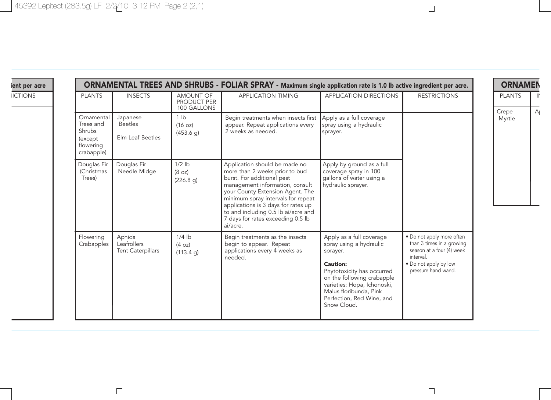$\overline{\Gamma}$ 

ient per acre

**ICTIONS** 

| ORNAMENTAL TREES AND SHRUBS - FOLIAR SPRAY - Maximum single application rate is 1.0 lb active ingredient per acre. |                                                       |                                         |                                                                                                                                                                                                                                                                                                                                           |                                                                                                                                                                                                                                              |                                                                                                                                                  |  |
|--------------------------------------------------------------------------------------------------------------------|-------------------------------------------------------|-----------------------------------------|-------------------------------------------------------------------------------------------------------------------------------------------------------------------------------------------------------------------------------------------------------------------------------------------------------------------------------------------|----------------------------------------------------------------------------------------------------------------------------------------------------------------------------------------------------------------------------------------------|--------------------------------------------------------------------------------------------------------------------------------------------------|--|
| <b>PLANTS</b>                                                                                                      | <b>INSECTS</b>                                        | AMOUNT OF<br>PRODUCT PER<br>100 GALLONS | <b>APPLICATION TIMING</b>                                                                                                                                                                                                                                                                                                                 | <b>APPLICATION DIRECTIONS</b>                                                                                                                                                                                                                | <b>RESTRICTIONS</b>                                                                                                                              |  |
| Ornamental<br>Trees and<br>Shrubs<br>(except<br>flowering<br>crabapple)                                            | Japanese<br><b>Beetles</b><br><b>Elm Leaf Beetles</b> | 1 <sub>lh</sub><br>(16 oz)<br>(453.6 g) | Begin treatments when insects first<br>appear. Repeat applications every<br>2 weeks as needed.                                                                                                                                                                                                                                            | Apply as a full coverage<br>spray using a hydraulic<br>sprayer.                                                                                                                                                                              |                                                                                                                                                  |  |
| Douglas Fir<br>(Christmas<br>Trees)                                                                                | Douglas Fir<br>Needle Midge                           | $1/2$ lb<br>(8 oz)<br>(226.8 q)         | Application should be made no<br>more than 2 weeks prior to bud<br>burst. For additional pest<br>management information, consult<br>your County Extension Agent. The<br>minimum spray intervals for repeat<br>applications is 3 days for rates up<br>to and including 0.5 lb ai/acre and<br>7 days for rates exceeding 0.5 lb<br>ai/acre. | Apply by ground as a full<br>coverage spray in 100<br>gallons of water using a<br>hydraulic sprayer.                                                                                                                                         |                                                                                                                                                  |  |
| Flowering<br>Crabapples                                                                                            | Aphids<br>Leafrollers<br><b>Tent Caterpillars</b>     | $1/4$ lb<br>(4 oz)<br>(113.4 g)         | Begin treatments as the insects<br>begin to appear. Repeat<br>applications every 4 weeks as<br>needed.                                                                                                                                                                                                                                    | Apply as a full coverage<br>spray using a hydraulic<br>sprayer.<br>Caution:<br>Phytotoxicity has occurred<br>on the following crabapple<br>varieties: Hopa, Ichonoski,<br>Malus floribunda, Pink<br>Perfection, Red Wine, and<br>Snow Cloud. | . Do not apply more often<br>than 3 times in a growing<br>season at a four (4) week<br>interval.<br>. Do not apply by low<br>pressure hand wand. |  |

## ORNAMEN PLANTS | II Crepe Myrtle  $\overline{A}$

 $\Box$ 

 $\overline{\phantom{a}}$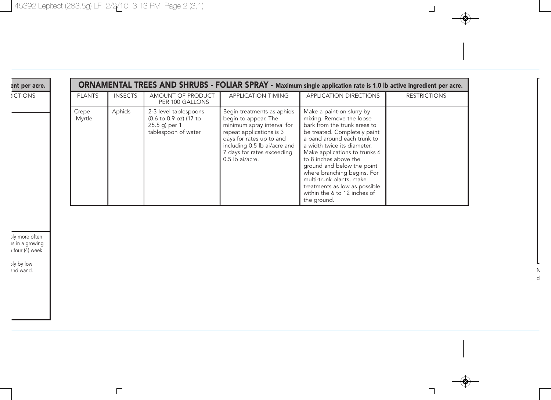$\Box$ 

|  | ent per acre. |
|--|---------------|
|  |               |

**ICTIONS** 

|                 | ORNAMENTAL TREES AND SHRUBS - FOLIAR SPRAY - Maximum single application rate is 1.0 lb active ingredient per acre. |                                                                                         |                                                                                                                                                                                                                           |                                                                                                                                                                                                                                                                                                                                                                                                                        |                     |  |  |  |  |  |
|-----------------|--------------------------------------------------------------------------------------------------------------------|-----------------------------------------------------------------------------------------|---------------------------------------------------------------------------------------------------------------------------------------------------------------------------------------------------------------------------|------------------------------------------------------------------------------------------------------------------------------------------------------------------------------------------------------------------------------------------------------------------------------------------------------------------------------------------------------------------------------------------------------------------------|---------------------|--|--|--|--|--|
| <b>PLANTS</b>   | <b>INSECTS</b>                                                                                                     | AMOUNT OF PRODUCT<br>PER 100 GALLONS                                                    | <b>APPLICATION TIMING</b>                                                                                                                                                                                                 | <b>APPLICATION DIRECTIONS</b>                                                                                                                                                                                                                                                                                                                                                                                          | <b>RESTRICTIONS</b> |  |  |  |  |  |
| Crepe<br>Myrtle | Aphids                                                                                                             | 2-3 level tablespoons<br>(0.6 to 0.9 oz) (17 to<br>25.5 g) per 1<br>tablespoon of water | Begin treatments as aphids<br>begin to appear. The<br>minimum spray interval for<br>repeat applications is 3<br>days for rates up to and<br>including 0.5 lb ai/acre and<br>7 days for rates exceeding<br>0.5 lb ai/acre. | Make a paint-on slurry by<br>mixing. Remove the loose<br>bark from the trunk areas to<br>be treated. Completely paint<br>a band around each trunk to<br>a width twice its diameter.<br>Make applications to trunks 6<br>to 8 inches above the<br>ground and below the point<br>where branching begins. For<br>multi-trunk plants, make<br>treatments as low as possible<br>within the 6 to 12 inches of<br>the ground. |                     |  |  |  |  |  |

ply more often es in a growing a four (4) week

ply by low and wand.

 $\Box$  .

 $\overline{\phantom{0}}$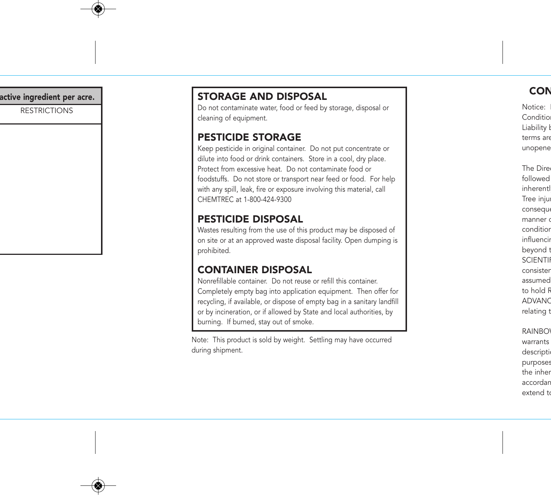RESTRICTIONS

# active ingredient per acre.

Do not contaminate water, food or feed by storage, disposal or cleaning of equipment.

### PESTICIDE STORAGE

Keep pesticide in original container. Do not put concentrate or dilute into food or drink containers. Store in a cool, dry place. Protect from excessive heat. Do not contaminate food or foodstuffs. Do not store or transport near feed or food. For help with any spill, leak, fire or exposure involving this material, call CHEMTREC at 1-800-424-9300

## PESTICIDE DISPOSAL

Wastes resulting from the use of this product may be disposed of on site or at an approved waste disposal facility. Open dumping is prohibited.

## CONTAINER DISPOSAL

Nonrefillable container. Do not reuse or refill this container. Completely empty bag into application equipment. Then offer for recycling, if available, or dispose of empty bag in a sanitary landfill or by incineration, or if allowed by State and local authorities, by burning. If burned, stay out of smoke.

Note: This product is sold by weight. Settling may have occurred during shipment.

Notice: Condition Liability **b** terms are unopene

The Direc followed inherentl Tree inju conseque manner o condition influencin beyond t SCIENTI consisten assumed to hold R ADVANC relating t

**RAINBO** warrants descripti purposes the inher accordan extend to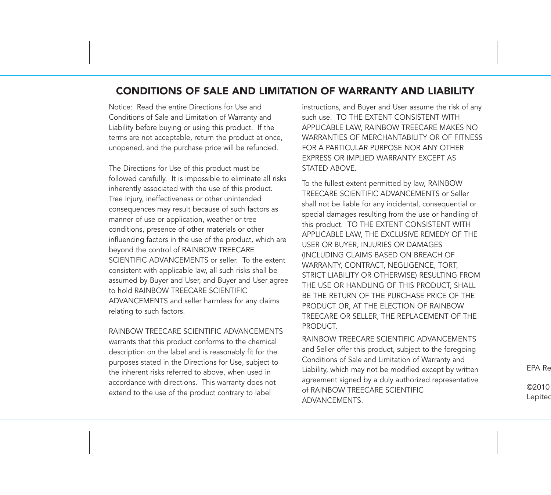#### CONDITIONS OF SALE AND LIMITATION OF WARRANTY AND LIABILITY

Notice: Read the entire Directions for Use and Conditions of Sale and Limitation of Warranty and Liability before buying or using this product. If the terms are not acceptable, return the product at once, unopened, and the purchase price will be refunded.

The Directions for Use of this product must be followed carefully. It is impossible to eliminate all risks inherently associated with the use of this product. Tree injury, ineffectiveness or other unintended consequences may result because of such factors as manner of use or application, weather or tree conditions, presence of other materials or other influencing factors in the use of the product, which are beyond the control of RAINBOW TREECARE SCIENTIFIC ADVANCEMENTS or seller. To the extent consistent with applicable law, all such risks shall be assumed by Buyer and User, and Buyer and User agree to hold RAINBOW TREECARE SCIENTIFIC ADVANCEMENTS and seller harmless for any claims relating to such factors.

RAINBOW TREECARE SCIENTIFIC ADVANCEMENTS warrants that this product conforms to the chemical description on the label and is reasonably fit for the purposes stated in the Directions for Use, subject to the inherent risks referred to above, when used in accordance with directions. This warranty does not extend to the use of the product contrary to label

instructions, and Buyer and User assume the risk of any such use. TO THE EXTENT CONSISTENT WITH APPLICABLE LAW, RAINBOW TREECARE MAKES NO WARRANTIES OF MERCHANTABILITY OR OF FITNESS FOR A PARTICULAR PURPOSE NOR ANY OTHER EXPRESS OR IMPLIED WARRANTY EXCEPT AS STATED ABOVE.

To the fullest extent permitted by law, RAINBOW TREECARE SCIENTIFIC ADVANCEMENTS or Seller shall not be liable for any incidental, consequential or special damages resulting from the use or handling of this product. TO THE EXTENT CONSISTENT WITH APPLICABLE LAW, THE EXCLUSIVE REMEDY OF THE USER OR BUYER, INJURIES OR DAMAGES (INCLUDING CLAIMS BASED ON BREACH OF WARRANTY, CONTRACT, NEGLIGENCE, TORT, STRICT LIABILITY OR OTHERWISE) RESULTING FROM THE USE OR HANDLING OF THIS PRODUCT, SHALL BE THE RETURN OF THE PURCHASE PRICE OF THE PRODUCT OR, AT THE ELECTION OF RAINBOW TREECARE OR SELLER, THE REPLACEMENT OF THE PRODUCT.

RAINBOW TREECARE SCIENTIFIC ADVANCEMENTS and Seller offer this product, subject to the foregoing Conditions of Sale and Limitation of Warranty and Liability, which may not be modified except by written agreement signed by a duly authorized representative of RAINBOW TREECARE SCIENTIFIC ADVANCEMENTS.

EPA Re

©2010 Lepitec